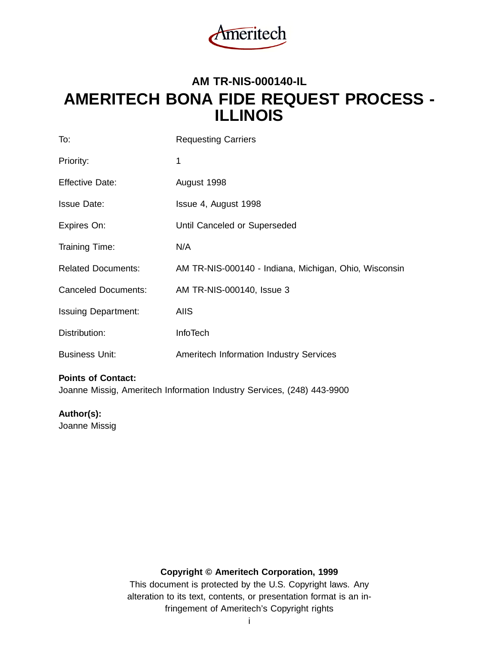

# **AM TR-NIS-000140-IL AMERITECH BONA FIDE REQUEST PROCESS - ILLINOIS**

| To:                        | <b>Requesting Carriers</b>                            |
|----------------------------|-------------------------------------------------------|
| Priority:                  | 1                                                     |
| <b>Effective Date:</b>     | August 1998                                           |
| <b>Issue Date:</b>         | Issue 4, August 1998                                  |
| Expires On:                | Until Canceled or Superseded                          |
| Training Time:             | N/A                                                   |
| <b>Related Documents:</b>  | AM TR-NIS-000140 - Indiana, Michigan, Ohio, Wisconsin |
| <b>Canceled Documents:</b> | AM TR-NIS-000140, Issue 3                             |
| <b>Issuing Department:</b> | <b>AIIS</b>                                           |
| Distribution:              | <b>InfoTech</b>                                       |
| <b>Business Unit:</b>      | <b>Ameritech Information Industry Services</b>        |

#### **Points of Contact:**

Joanne Missig, Ameritech Information Industry Services, (248) 443-9900

**Author(s):**

Joanne Missig

# **Copyright © Ameritech Corporation, 1999**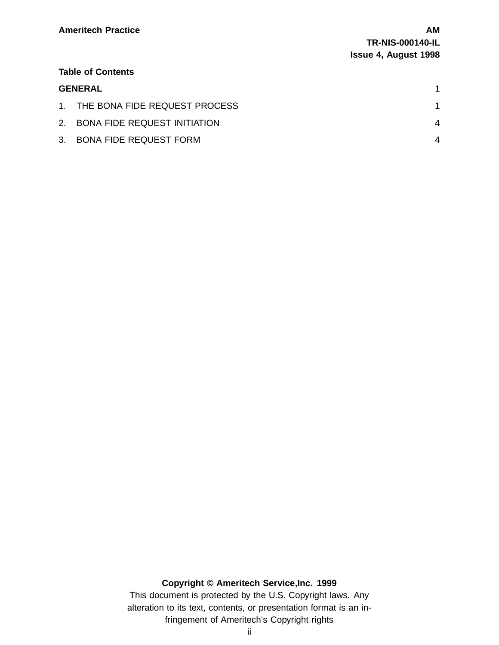#### **Table of Contents**

### **GENERAL** 1

| 1. THE BONA FIDE REQUEST PROCESS |  |
|----------------------------------|--|
| 2. BONA FIDE REQUEST INITIATION  |  |
| 3. BONA FIDE REQUEST FORM        |  |

# **Copyright © Ameritech Service,Inc. 1999** This document is protected by the U.S. Copyright laws. Any

alteration to its text, contents, or presentation format is an infringement of Ameritech's Copyright rights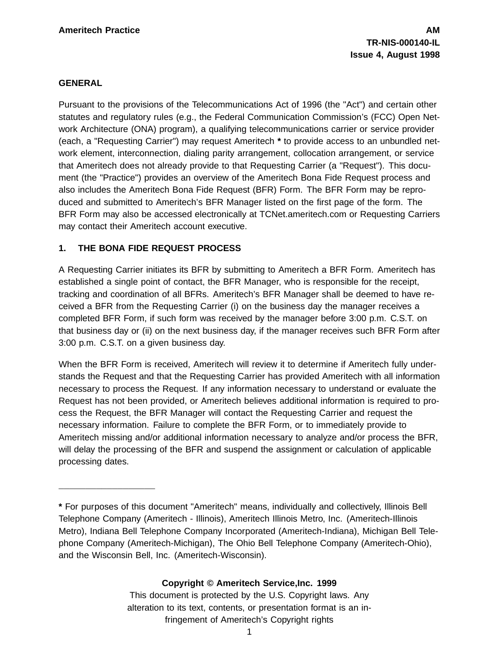#### **GENERAL**

Pursuant to the provisions of the Telecommunications Act of 1996 (the "Act") and certain other statutes and regulatory rules (e.g., the Federal Communication Commission's (FCC) Open Network Architecture (ONA) program), a qualifying telecommunications carrier or service provider (each, a "Requesting Carrier") may request Ameritech **\*** to provide access to an unbundled network element, interconnection, dialing parity arrangement, collocation arrangement, or service that Ameritech does not already provide to that Requesting Carrier (a "Request"). This document (the "Practice") provides an overview of the Ameritech Bona Fide Request process and also includes the Ameritech Bona Fide Request (BFR) Form. The BFR Form may be reproduced and submitted to Ameritech's BFR Manager listed on the first page of the form. The BFR Form may also be accessed electronically at TCNet.ameritech.com or Requesting Carriers may contact their Ameritech account executive.

#### **1. THE BONA FIDE REQUEST PROCESS**

\_\_\_\_\_\_\_\_\_\_\_\_\_\_\_\_\_\_

A Requesting Carrier initiates its BFR by submitting to Ameritech a BFR Form. Ameritech has established a single point of contact, the BFR Manager, who is responsible for the receipt, tracking and coordination of all BFRs. Ameritech's BFR Manager shall be deemed to have received a BFR from the Requesting Carrier (i) on the business day the manager receives a completed BFR Form, if such form was received by the manager before 3:00 p.m. C.S.T. on that business day or (ii) on the next business day, if the manager receives such BFR Form after 3:00 p.m. C.S.T. on a given business day.

When the BFR Form is received, Ameritech will review it to determine if Ameritech fully understands the Request and that the Requesting Carrier has provided Ameritech with all information necessary to process the Request. If any information necessary to understand or evaluate the Request has not been provided, or Ameritech believes additional information is required to process the Request, the BFR Manager will contact the Requesting Carrier and request the necessary information. Failure to complete the BFR Form, or to immediately provide to Ameritech missing and/or additional information necessary to analyze and/or process the BFR, will delay the processing of the BFR and suspend the assignment or calculation of applicable processing dates.

# **Copyright © Ameritech Service,Inc. 1999**

**<sup>\*</sup>** For purposes of this document "Ameritech" means, individually and collectively, Illinois Bell Telephone Company (Ameritech - Illinois), Ameritech Illinois Metro, Inc. (Ameritech-Illinois Metro), Indiana Bell Telephone Company Incorporated (Ameritech-Indiana), Michigan Bell Telephone Company (Ameritech-Michigan), The Ohio Bell Telephone Company (Ameritech-Ohio), and the Wisconsin Bell, Inc. (Ameritech-Wisconsin).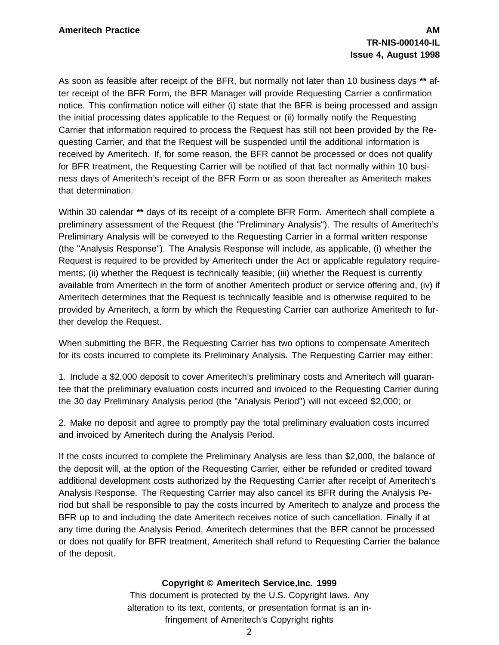As soon as feasible after receipt of the BFR, but normally not later than 10 business days **\*\*** after receipt of the BFR Form, the BFR Manager will provide Requesting Carrier a confirmation notice. This confirmation notice will either (i) state that the BFR is being processed and assign the initial processing dates applicable to the Request or (ii) formally notify the Requesting Carrier that information required to process the Request has still not been provided by the Requesting Carrier, and that the Request will be suspended until the additional information is received by Ameritech. If, for some reason, the BFR cannot be processed or does not qualify for BFR treatment, the Requesting Carrier will be notified of that fact normally within 10 business days of Ameritech's receipt of the BFR Form or as soon thereafter as Ameritech makes that determination.

Within 30 calendar **\*\*** days of its receipt of a complete BFR Form. Ameritech shall complete a preliminary assessment of the Request (the "Preliminary Analysis"). The results of Ameritech's Preliminary Analysis will be conveyed to the Requesting Carrier in a formal written response (the "Analysis Response"). The Analysis Response will include, as applicable, (i) whether the Request is required to be provided by Ameritech under the Act or applicable regulatory requirements; (ii) whether the Request is technically feasible; (iii) whether the Request is currently available from Ameritech in the form of another Ameritech product or service offering and, (iv) if Ameritech determines that the Request is technically feasible and is otherwise required to be provided by Ameritech, a form by which the Requesting Carrier can authorize Ameritech to further develop the Request.

When submitting the BFR, the Requesting Carrier has two options to compensate Ameritech for its costs incurred to complete its Preliminary Analysis. The Requesting Carrier may either:

1. Include a \$2,000 deposit to cover Ameritech's preliminary costs and Ameritech will guarantee that the preliminary evaluation costs incurred and invoiced to the Requesting Carrier during the 30 day Preliminary Analysis period (the "Analysis Period") will not exceed \$2,000; or

2. Make no deposit and agree to promptly pay the total preliminary evaluation costs incurred and invoiced by Ameritech during the Analysis Period.

If the costs incurred to complete the Preliminary Analysis are less than \$2,000, the balance of the deposit will, at the option of the Requesting Carrier, either be refunded or credited toward additional development costs authorized by the Requesting Carrier after receipt of Ameritech's Analysis Response. The Requesting Carrier may also cancel its BFR during the Analysis Period but shall be responsible to pay the costs incurred by Ameritech to analyze and process the BFR up to and including the date Ameritech receives notice of such cancellation. Finally if at any time during the Analysis Period, Ameritech determines that the BFR cannot be processed or does not qualify for BFR treatment, Ameritech shall refund to Requesting Carrier the balance of the deposit.

#### **Copyright © Ameritech Service,Inc. 1999**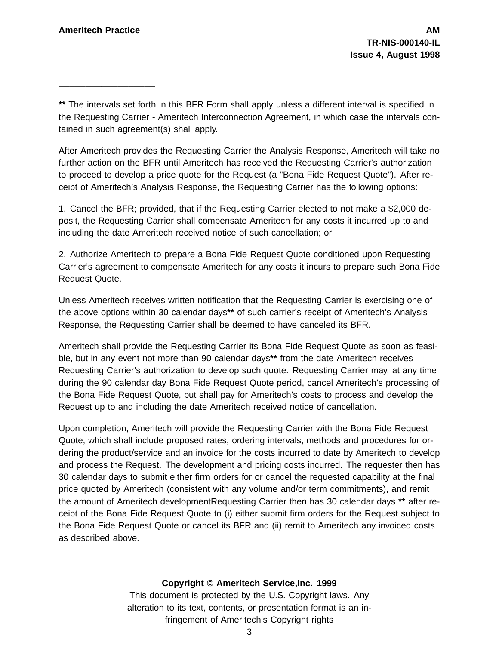\_\_\_\_\_\_\_\_\_\_\_\_\_\_\_\_\_\_

**\*\*** The intervals set forth in this BFR Form shall apply unless a different interval is specified in the Requesting Carrier - Ameritech Interconnection Agreement, in which case the intervals contained in such agreement(s) shall apply.

After Ameritech provides the Requesting Carrier the Analysis Response, Ameritech will take no further action on the BFR until Ameritech has received the Requesting Carrier's authorization to proceed to develop a price quote for the Request (a "Bona Fide Request Quote"). After receipt of Ameritech's Analysis Response, the Requesting Carrier has the following options:

1. Cancel the BFR; provided, that if the Requesting Carrier elected to not make a \$2,000 deposit, the Requesting Carrier shall compensate Ameritech for any costs it incurred up to and including the date Ameritech received notice of such cancellation; or

2. Authorize Ameritech to prepare a Bona Fide Request Quote conditioned upon Requesting Carrier's agreement to compensate Ameritech for any costs it incurs to prepare such Bona Fide Request Quote.

Unless Ameritech receives written notification that the Requesting Carrier is exercising one of the above options within 30 calendar days**\*\*** of such carrier's receipt of Ameritech's Analysis Response, the Requesting Carrier shall be deemed to have canceled its BFR.

Ameritech shall provide the Requesting Carrier its Bona Fide Request Quote as soon as feasible, but in any event not more than 90 calendar days**\*\*** from the date Ameritech receives Requesting Carrier's authorization to develop such quote. Requesting Carrier may, at any time during the 90 calendar day Bona Fide Request Quote period, cancel Ameritech's processing of the Bona Fide Request Quote, but shall pay for Ameritech's costs to process and develop the Request up to and including the date Ameritech received notice of cancellation.

Upon completion, Ameritech will provide the Requesting Carrier with the Bona Fide Request Quote, which shall include proposed rates, ordering intervals, methods and procedures for ordering the product/service and an invoice for the costs incurred to date by Ameritech to develop and process the Request. The development and pricing costs incurred. The requester then has 30 calendar days to submit either firm orders for or cancel the requested capability at the final price quoted by Ameritech (consistent with any volume and/or term commitments), and remit the amount of Ameritech developmentRequesting Carrier then has 30 calendar days **\*\*** after receipt of the Bona Fide Request Quote to (i) either submit firm orders for the Request subject to the Bona Fide Request Quote or cancel its BFR and (ii) remit to Ameritech any invoiced costs as described above.

# **Copyright © Ameritech Service,Inc. 1999**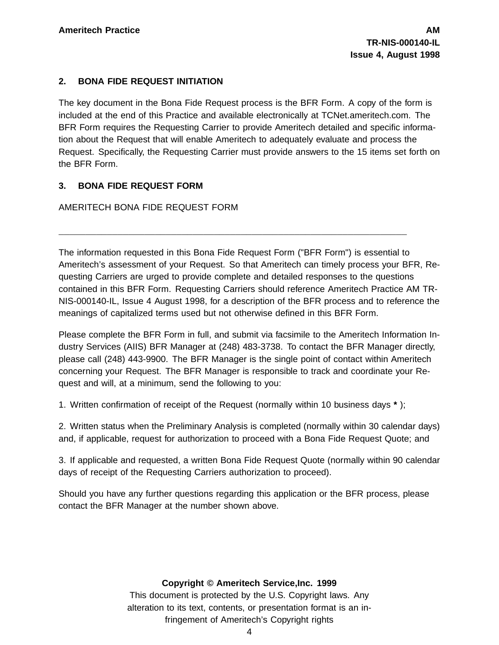#### **2. BONA FIDE REQUEST INITIATION**

The key document in the Bona Fide Request process is the BFR Form. A copy of the form is included at the end of this Practice and available electronically at TCNet.ameritech.com. The BFR Form requires the Requesting Carrier to provide Ameritech detailed and specific information about the Request that will enable Ameritech to adequately evaluate and process the Request. Specifically, the Requesting Carrier must provide answers to the 15 items set forth on the BFR Form.

# **3. BONA FIDE REQUEST FORM**

AMERITECH BONA FIDE REQUEST FORM

The information requested in this Bona Fide Request Form ("BFR Form") is essential to Ameritech's assessment of your Request. So that Ameritech can timely process your BFR, Requesting Carriers are urged to provide complete and detailed responses to the questions contained in this BFR Form. Requesting Carriers should reference Ameritech Practice AM TR-NIS-000140-IL, Issue 4 August 1998, for a description of the BFR process and to reference the meanings of capitalized terms used but not otherwise defined in this BFR Form.

\_\_\_\_\_\_\_\_\_\_\_\_\_\_\_\_\_\_\_\_\_\_\_\_\_\_\_\_\_\_\_\_\_\_\_\_\_\_\_\_\_\_\_\_\_\_\_\_\_\_\_\_\_\_\_\_\_\_\_\_\_\_\_\_\_

Please complete the BFR Form in full, and submit via facsimile to the Ameritech Information Industry Services (AIIS) BFR Manager at (248) 483-3738. To contact the BFR Manager directly, please call (248) 443-9900. The BFR Manager is the single point of contact within Ameritech concerning your Request. The BFR Manager is responsible to track and coordinate your Request and will, at a minimum, send the following to you:

1. Written confirmation of receipt of the Request (normally within 10 business days **\*** );

2. Written status when the Preliminary Analysis is completed (normally within 30 calendar days) and, if applicable, request for authorization to proceed with a Bona Fide Request Quote; and

3. If applicable and requested, a written Bona Fide Request Quote (normally within 90 calendar days of receipt of the Requesting Carriers authorization to proceed).

Should you have any further questions regarding this application or the BFR process, please contact the BFR Manager at the number shown above.

#### **Copyright © Ameritech Service,Inc. 1999**